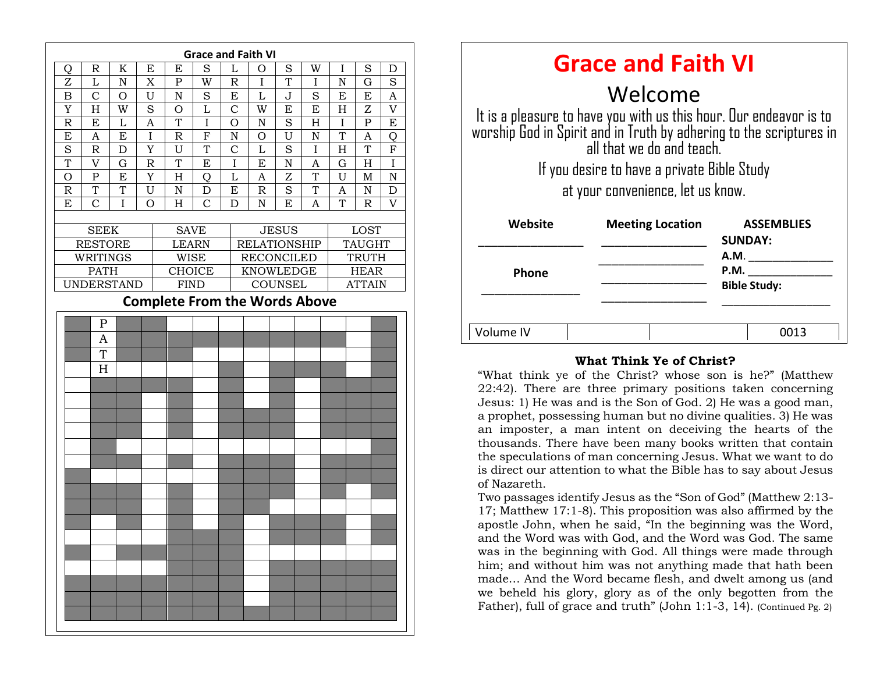|                                      |                                  |                |                         |                              |                |                | <b>Grace and Faith VI</b> |                    |         |             |               |                |  |
|--------------------------------------|----------------------------------|----------------|-------------------------|------------------------------|----------------|----------------|---------------------------|--------------------|---------|-------------|---------------|----------------|--|
| Q                                    | $\mathbb R$                      | $\mathbf K$    | $\mathbf E$             | ${\bf E}$                    | S              | L              | $\overline{O}$            | S                  | W       | $\mathbf I$ | S             | D              |  |
| Z                                    | $\mathbf{L}$                     | ${\bf N}$      | X                       | ${\bf P}$                    | W              | $\mathbb R$    | $\overline{I}$            | $\overline{T}$     | I       | $\mathbf N$ | $\mathbf G$   | S              |  |
| B                                    | $\mathcal{C}$                    | O              | U                       | ${\bf N}$                    | S              | E              | L                         | J                  | S       | E           | E             | A              |  |
| Y                                    | H                                | W              | S                       | $\mathcal{O}$                | $\overline{L}$ | $\overline{C}$ | W                         | E                  | E       | H           | Z             | $\overline{V}$ |  |
| $\overline{\mathrm{R}}$              | E                                | $\overline{L}$ | $\overline{A}$          | T                            | I              | $\overline{O}$ | $\overline{N}$            | S                  | H       | $\mathbf I$ | $\mathbf P$   | E              |  |
| E                                    | A                                | E              | $\overline{I}$          | $\mathbb R$                  | $\rm F$        | N              | O                         | U                  | N       | T           | A             | Q              |  |
| S                                    | $\mathbb R$                      | $\mathbf D$    | Y                       | U                            | T              | $\mathcal{C}$  | L                         | S                  | $\rm I$ | H           | T             | $\overline{F}$ |  |
| $\overline{T}$                       | $\overline{V}$                   | $\mathbf G$    | $\overline{\mathrm{R}}$ | $\mathbf T$                  | E              | $\rm I$        | E                         | $\overline{\rm N}$ | A       | G           | H             | $\overline{I}$ |  |
| $\mathcal{O}$                        | ${\bf P}$                        | E              | Y                       | H                            | Q              | L              | A                         | Z                  | T       | U           | M             | N              |  |
| $\mathbb R$                          | T                                | T              | U                       | ${\bf N}$                    | D              | E              | R                         | S                  | T       | A           | N             | D              |  |
| E                                    | $\mathbf C$                      | I              | $\overline{O}$          | H                            | $\overline{C}$ | D              | $\mathbf N$               | E                  | A       | T           | $\mathbb R$   | $\overline{V}$ |  |
|                                      |                                  |                |                         |                              |                |                |                           |                    |         |             |               |                |  |
|                                      | <b>SEEK</b>                      |                |                         | <b>SAVE</b>                  |                |                | <b>JESUS</b>              |                    |         | LOST        |               |                |  |
|                                      | <b>RESTORE</b>                   |                |                         | <b>LEARN</b>                 |                |                | <b>RELATIONSHIP</b>       |                    |         |             | <b>TAUGHT</b> |                |  |
|                                      | WRITINGS                         |                |                         | <b>WISE</b>                  |                |                | <b>RECONCILED</b>         |                    |         |             | <b>TRUTH</b>  |                |  |
|                                      | <b>PATH</b><br><b>UNDERSTAND</b> |                |                         | <b>CHOICE</b><br><b>FIND</b> |                |                | <b>KNOWLEDGE</b>          |                    |         | <b>HEAR</b> |               |                |  |
|                                      |                                  |                |                         |                              |                |                |                           | COUNSEL            |         |             | <b>ATTAIN</b> |                |  |
| <b>Complete From the Words Above</b> |                                  |                |                         |                              |                |                |                           |                    |         |             |               |                |  |
|                                      | $\mathbf P$                      |                |                         |                              |                |                |                           |                    |         |             |               |                |  |
|                                      | $\mathbf{A}$                     |                |                         |                              |                |                |                           |                    |         |             |               |                |  |
|                                      | T                                |                |                         |                              |                |                |                           |                    |         |             |               |                |  |
|                                      | H                                |                |                         |                              |                |                |                           |                    |         |             |               |                |  |
|                                      |                                  |                |                         |                              |                |                |                           |                    |         |             |               |                |  |
|                                      |                                  |                |                         |                              |                |                |                           |                    |         |             |               |                |  |
|                                      |                                  |                |                         |                              |                |                |                           |                    |         |             |               |                |  |
|                                      |                                  |                |                         |                              |                |                |                           |                    |         |             |               |                |  |
|                                      |                                  |                |                         |                              |                |                |                           |                    |         |             |               |                |  |
|                                      |                                  |                |                         |                              |                |                |                           |                    |         |             |               |                |  |
|                                      |                                  |                |                         |                              |                |                |                           |                    |         |             |               |                |  |
|                                      |                                  |                |                         |                              |                |                |                           |                    |         |             |               |                |  |
|                                      |                                  |                |                         |                              |                |                |                           |                    |         |             |               |                |  |
|                                      |                                  |                |                         |                              |                |                |                           |                    |         |             |               |                |  |
|                                      |                                  |                |                         |                              |                |                |                           |                    |         |             |               |                |  |
|                                      |                                  |                |                         |                              |                |                |                           |                    |         |             |               |                |  |
|                                      |                                  |                |                         |                              |                |                |                           |                    |         |             |               |                |  |
|                                      |                                  |                |                         |                              |                |                |                           |                    |         |             |               |                |  |
|                                      |                                  |                |                         |                              |                |                |                           |                    |         |             |               |                |  |
|                                      |                                  |                |                         |                              |                |                |                           |                    |         |             |               |                |  |
|                                      |                                  |                |                         |                              |                |                |                           |                    |         |             |               |                |  |
|                                      |                                  |                |                         |                              |                |                |                           |                    |         |             |               |                |  |
|                                      |                                  |                |                         |                              |                |                |                           |                    |         |             |               |                |  |

| <b>Grace and Faith VI</b>                                                                                                                                              |                         |                                     |  |  |  |  |  |  |  |
|------------------------------------------------------------------------------------------------------------------------------------------------------------------------|-------------------------|-------------------------------------|--|--|--|--|--|--|--|
| Welcome                                                                                                                                                                |                         |                                     |  |  |  |  |  |  |  |
| It is a pleasure to have you with us this hour. Our endeavor is to<br>worship God in Spirit and in Truth by adhering to the scriptures in<br>all that we do and teach. |                         |                                     |  |  |  |  |  |  |  |
| If you desire to have a private Bible Study                                                                                                                            |                         |                                     |  |  |  |  |  |  |  |
| at your convenience, let us know.                                                                                                                                      |                         |                                     |  |  |  |  |  |  |  |
| Website                                                                                                                                                                | <b>Meeting Location</b> | <b>ASSEMBLIES</b><br><b>SUNDAY:</b> |  |  |  |  |  |  |  |
|                                                                                                                                                                        |                         | A.M.                                |  |  |  |  |  |  |  |
| <b>Phone</b>                                                                                                                                                           |                         | P.M.<br><b>Bible Study:</b>         |  |  |  |  |  |  |  |
| Volume IV                                                                                                                                                              |                         | 0013                                |  |  |  |  |  |  |  |

#### **What Think Ye of Christ?**

an imposter, a man intent on deceiving the hearts of the "What think ye of the Christ? whose son is he?" (Matthew 22:42). There are three primary positions taken concerning Jesus: 1) He was and is the Son of God. 2) He was a good man, a prophet, possessing human but no divine qualities. 3) He was thousands. There have been many books written that contain the speculations of man concerning Jesus. What we want to do is direct our attention to what the Bible has to say about Jesus of Nazareth.

Two passages identify Jesus as the "Son of God" (Matthew 2:13- 17; Matthew 17:1-8). This proposition was also affirmed by the apostle John, when he said, "In the beginning was the Word, and the Word was with God, and the Word was God. The same was in the beginning with God. All things were made through him; and without him was not anything made that hath been made… And the Word became flesh, and dwelt among us (and we beheld his glory, glory as of the only begotten from the Father), full of grace and truth" (John 1:1-3, 14). (Continued Pg. 2)